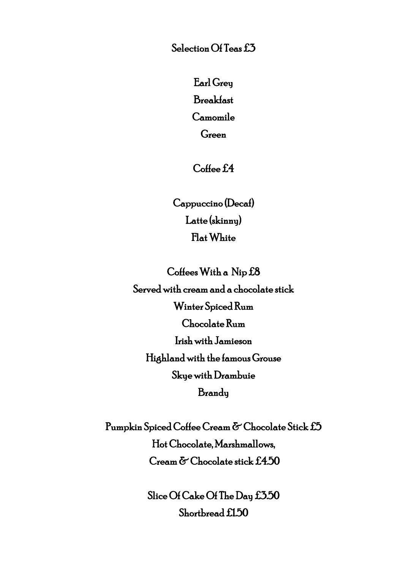Selection Of Teas £3

Earl Grey Breakfast Camomile Green

Coffee £4

Cappuccino (Decaf) Latte (skinny) Flat White

Coffees With a Nip £8 Served with cream and a chocolate stick Winter Spiced Rum Chocolate Rum Irish with Jamieson Highland with the famous Grouse Skye with Drambuie **Brandy** 

Pumpkin Spiced Coffee Cream & Chocolate Stick £5 Hot Chocolate, Marshmallows, Cream & Chocolate stick £4.50

> Slice Of Cake Of The Day £3.50 Shortbread £1.50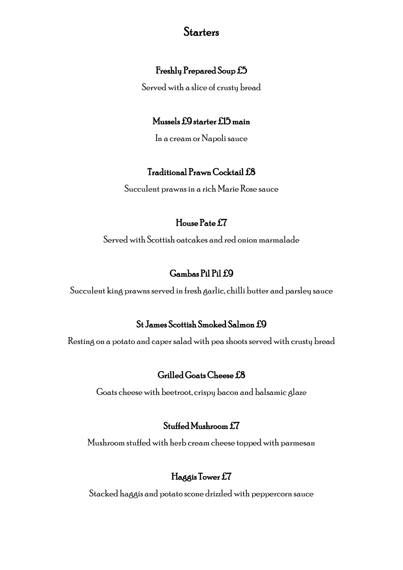### **Starters**

#### Freshly Prepared Soup £5

Served with a slice of crusty bread

#### Mussels £9 starter £15 main

In a cream or Napoli sauce

#### Traditional Prawn Cocktail £8

Succulent prawns in a rich Marie Rose sauce

#### House Pate £7

Served with Scottish oatcakes and red onion marmalade

## Gambas Pil Pil £9

Succulent king prawns served in fresh garlic, chilli butter and parsley sauce

### St James Scottish Smoked Salmon £9

Resting on a potato and caper salad with pea shoots served with crusty bread

### Grilled Goats Cheese £8

Goats cheese with beetroot, crispy bacon and balsamic glaze

### Stuffed Mushroom £7

Mushroom stuffed with herb creamcheese topped with parmesan

### Haggis Tower £7

Stacked haggis and potato scone drizzled with peppercorn sauce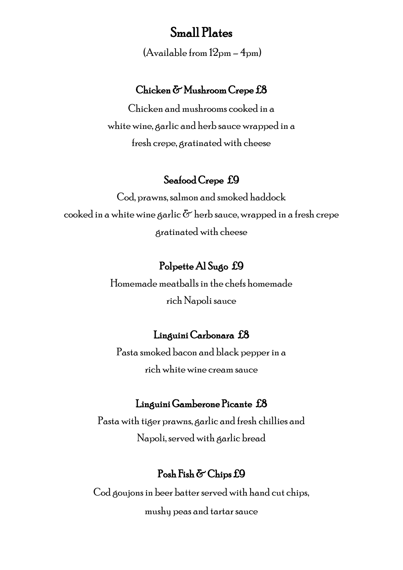# Small Plates

(Available from 12pm – 4pm)

#### Chicken & Mushroom Crepe £8

Chicken and mushrooms cooked in a white wine, garlic and herb sauce wrapped in a fresh crepe, gratinated with cheese

#### Seafood Crepe £9

Cod, prawns, salmon and smoked haddock cooked in a white wine garlic  $\delta$  herb sauce, wrapped in a fresh crepe gratinated with cheese

### Polpette Al Sugo £9

Homemade meatballs in the chefs homemade rich Napoli sauce

#### Linguini Carbonara £8

Pasta smoked bacon and black pepper in a rich white wine cream sauce

#### Linguini Gamberone Picante £8

Pasta with tiger prawns, garlic and fresh chillies and Napoli, served with garlic bread

#### Posh Fish & Chips £9

Cod goujons in beer batter served with hand cut chips, mushy peas and tartar sauce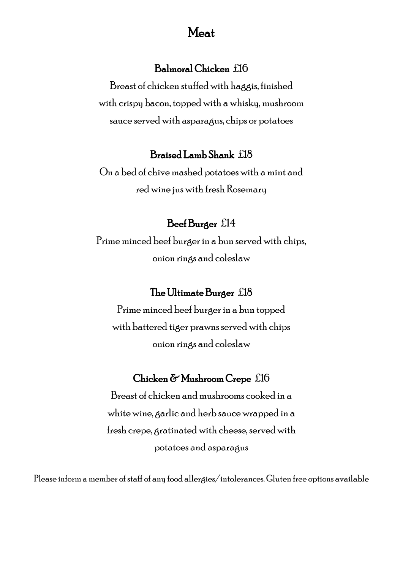# Meat

#### Balmoral Chicken £16

Breast of chicken stuffed with haggis, finished with crispy bacon, topped with a whisky, mushroom sauce served with asparagus, chips or potatoes

## Braised Lamb Shank £18

On a bed of chive mashed potatoes with a mint and red wine jus with fresh Rosemary

#### Beef Burger £14

Prime minced beef burger in a bun served with chips, onion rings and coleslaw

## The Ultimate Burger £18

Prime minced beef burger in a bun topped with battered tiger prawns served with chips onion rings and coleslaw

#### Chicken & Mushroom Crepe £16

Breast of chicken andmushrooms cooked in a white wine, garlic and herb sauce wrapped in a fresh crepe, gratinated with cheese, served with potatoes and asparagus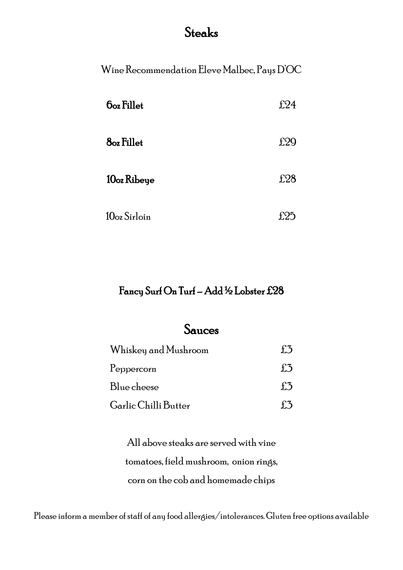# Steaks

Wine Recommendation Eleve Malbec, Pays D'OC

| <b><i><u>Ooz Fillet</u></i></b> | £24 |
|---------------------------------|-----|
| <b>8</b> oz Fillet              | £29 |
| 10oz Ribeye                     | £28 |
| 10oz Sirloin                    |     |

# Fancy Surf On Turf – Add ½ Lobster £28

# Sauces

| Whiskey and Mushroom |              |
|----------------------|--------------|
| Peppercorn           | $f_{\alpha}$ |
| Blue cheese          | $f\ddot{.}5$ |
| Garlic Chilli Butter |              |

All above steaks are served with vine tomatoes, field mushroom, onion rings, corn on the cob and homemade chips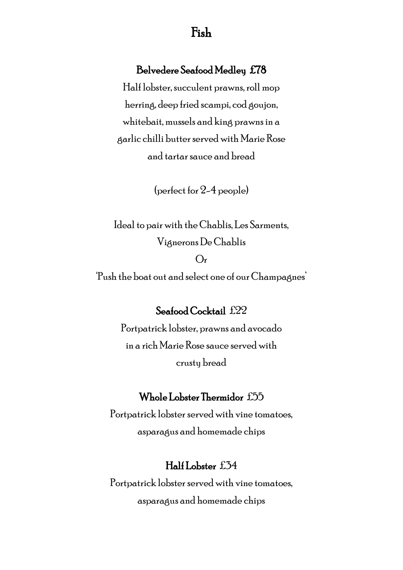# Fish

#### Belvedere Seafood Medley £78

Half lobster, succulent prawns, roll mop herring, deep fried scampi, cod goujon, whitebait, mussels and king prawns in a garlic chilli butter served with Marie Rose and tartar sauce and bread

(perfect for 2-4 people)

Ideal to pair with the Chablis, Les Sarments, Vignerons De Chablis  $O<sub>r</sub>$ 'Push the boat out and select one of our Champagnes'

Seafood Cocktail £22

Portpatrick lobster, prawns and avocado in a rich Marie Rose sauce served with crusty bread

#### Whole Lobster Thermidor £55

Portpatrick lobster served with vine tomatoes, asparagus and homemade chips

#### Half Lobster £34

Portpatrick lobster served with vine tomatoes, asparagus and homemade chips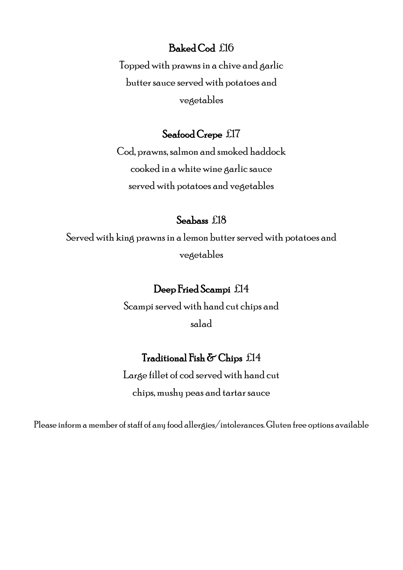#### Baked Cod £16

Topped with prawns in a chive and garlic butter sauce served with potatoes and vegetables

#### Seafood Crepe £17

Cod, prawns, salmon and smoked haddock cooked in a white wine garlic sauce served with potatoes and vegetables

### Seabass £18

Served with king prawns in a lemon butter served with potatoes and vegetables

### Deep Fried Scampi £14

Scampi served with hand cut chips and salad

#### Traditional Fish & Chips £14

Large fillet of cod served with hand cut chips, mushy peas and tartar sauce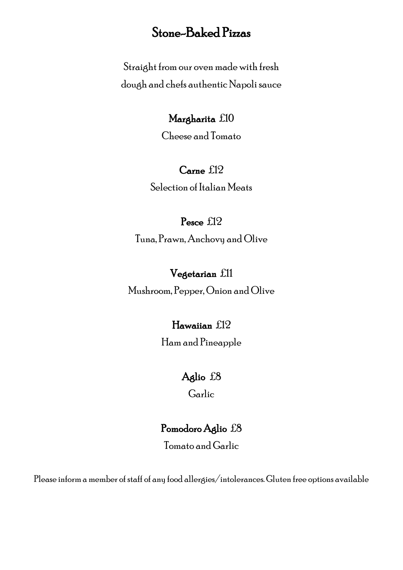# Stone-Baked Pizzas

Straight from our oven made with fresh dough and chefs authentic Napoli sauce

### Margharita £10

Cheese and Tomato

### Carne £12

Selection of Italian Meats

### Pesce £12

Tuna, Prawn, Anchovy and Olive

## Vegetarian £11

Mushroom, Pepper, Onion and Olive

## Hawaiian £12

Ham and Pineapple

## Aglio £8

Garlic

## Pomodoro Aglio £8

Tomato and Garlic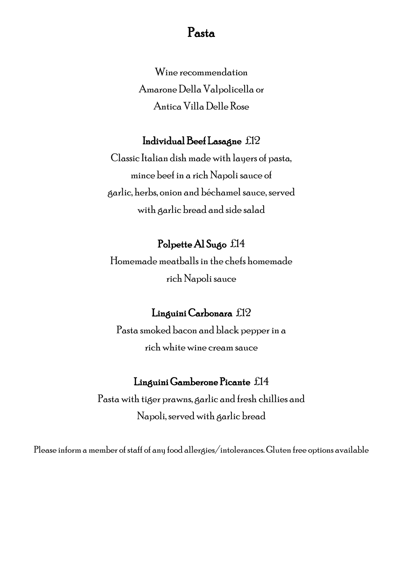# Pasta

Wine recommendation Amarone Della Valpolicella or Antica Villa Delle Rose

#### Individual Beef Lasagne £12

Classic Italian dish made with layers of pasta, mince beef in a rich Napoli sauce of garlic, herbs, onion and béchamel sauce, served with garlic bread and side salad

#### Polpette Al Sugo £14

Homemade meatballs in the chefs homemade rich Napoli sauce

#### Linguini Carbonara £12

Pasta smoked bacon and black pepper in a rich white wine cream sauce

#### Linguini Gamberone Picante £14

Pasta with tiger prawns, garlic and fresh chillies and Napoli, served with garlic bread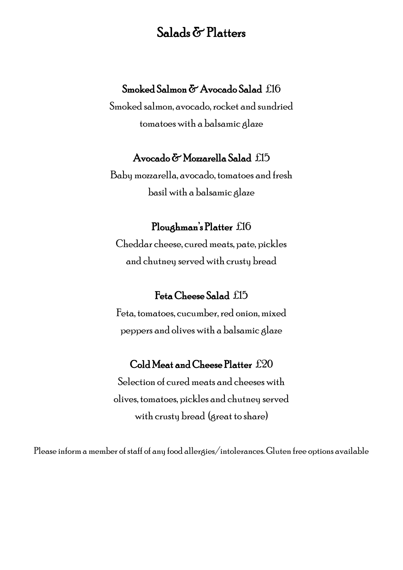# Salads & Platters

### Smoked Salmon & Avocado Salad £16

Smoked salmon, avocado, rocket and sundried tomatoes with a balsamic glaze

#### Avocado & Mozzarella Salad £15

Baby mozzarella, avocado, tomatoes and fresh basil with a balsamic glaze

#### Ploughman's Platter £16

Cheddar cheese, cured meats, pate, pickles and chutney served with crusty bread

### Feta Cheese Salad £15

Feta, tomatoes, cucumber, red onion, mixed peppers and olives with a balsamic glaze

#### Cold Meat and Cheese Platter £20

Selection of cured meats and cheeses with olives, tomatoes, pickles and chutney served with crusty bread (great to share)